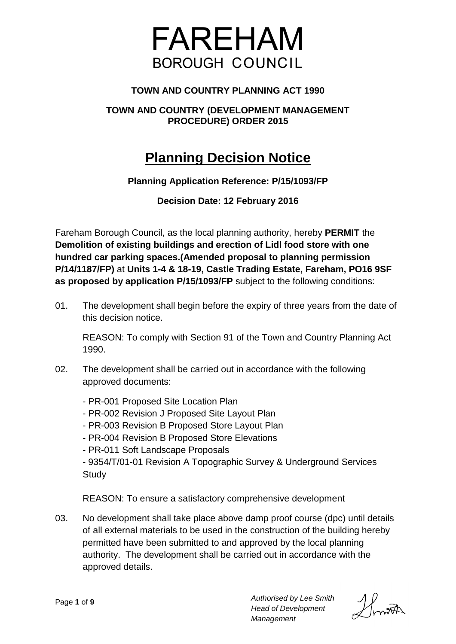

# **TOWN AND COUNTRY PLANNING ACT 1990**

# **TOWN AND COUNTRY (DEVELOPMENT MANAGEMENT PROCEDURE) ORDER 2015**

# **Planning Decision Notice**

# **Planning Application Reference: P/15/1093/FP**

**Decision Date: 12 February 2016**

Fareham Borough Council, as the local planning authority, hereby **PERMIT** the **Demolition of existing buildings and erection of Lidl food store with one hundred car parking spaces.(Amended proposal to planning permission P/14/1187/FP)** at **Units 1-4 & 18-19, Castle Trading Estate, Fareham, PO16 9SF as proposed by application P/15/1093/FP** subject to the following conditions:

01. The development shall begin before the expiry of three years from the date of this decision notice.

REASON: To comply with Section 91 of the Town and Country Planning Act 1990.

02. The development shall be carried out in accordance with the following approved documents:

- PR-001 Proposed Site Location Plan - PR-002 Revision J Proposed Site Layout Plan - PR-003 Revision B Proposed Store Layout Plan - PR-004 Revision B Proposed Store Elevations - PR-011 Soft Landscape Proposals - 9354/T/01-01 Revision A Topographic Survey & Underground Services **Study** 

REASON: To ensure a satisfactory comprehensive development

03. No development shall take place above damp proof course (dpc) until details of all external materials to be used in the construction of the building hereby permitted have been submitted to and approved by the local planning authority. The development shall be carried out in accordance with the approved details.

Howth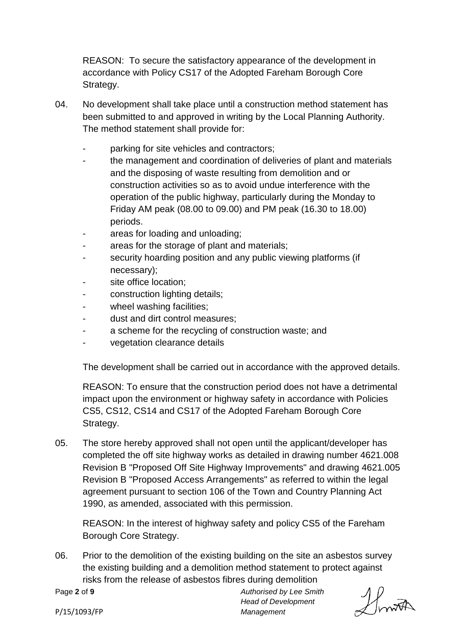REASON: To secure the satisfactory appearance of the development in accordance with Policy CS17 of the Adopted Fareham Borough Core Strategy.

- 04. No development shall take place until a construction method statement has been submitted to and approved in writing by the Local Planning Authority. The method statement shall provide for:
	- parking for site vehicles and contractors;
	- the management and coordination of deliveries of plant and materials and the disposing of waste resulting from demolition and or construction activities so as to avoid undue interference with the operation of the public highway, particularly during the Monday to Friday AM peak (08.00 to 09.00) and PM peak (16.30 to 18.00) periods.
	- areas for loading and unloading;
	- areas for the storage of plant and materials;
	- security hoarding position and any public viewing platforms (if necessary);
	- site office location;
	- construction lighting details;
	- wheel washing facilities;
	- dust and dirt control measures;
	- a scheme for the recycling of construction waste; and
	- vegetation clearance details

The development shall be carried out in accordance with the approved details.

REASON: To ensure that the construction period does not have a detrimental impact upon the environment or highway safety in accordance with Policies CS5, CS12, CS14 and CS17 of the Adopted Fareham Borough Core Strategy.

05. The store hereby approved shall not open until the applicant/developer has completed the off site highway works as detailed in drawing number 4621.008 Revision B "Proposed Off Site Highway Improvements" and drawing 4621.005 Revision B "Proposed Access Arrangements" as referred to within the legal agreement pursuant to section 106 of the Town and Country Planning Act 1990, as amended, associated with this permission.

REASON: In the interest of highway safety and policy CS5 of the Fareham Borough Core Strategy.

06. Prior to the demolition of the existing building on the site an asbestos survey the existing building and a demolition method statement to protect against risks from the release of asbestos fibres during demolition

Page **2** of **9**

Howth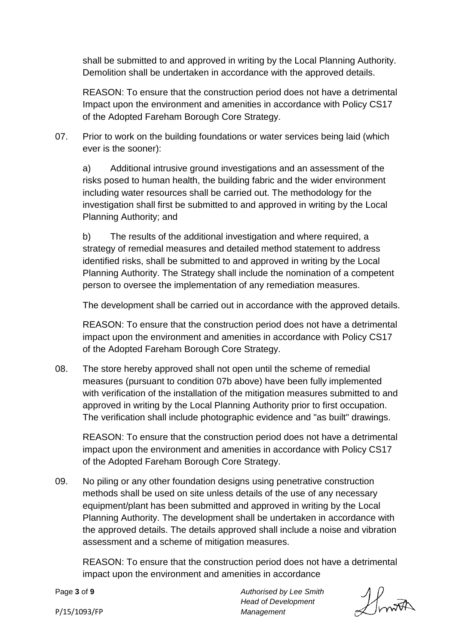shall be submitted to and approved in writing by the Local Planning Authority. Demolition shall be undertaken in accordance with the approved details.

REASON: To ensure that the construction period does not have a detrimental Impact upon the environment and amenities in accordance with Policy CS17 of the Adopted Fareham Borough Core Strategy.

07. Prior to work on the building foundations or water services being laid (which ever is the sooner):

a) Additional intrusive ground investigations and an assessment of the risks posed to human health, the building fabric and the wider environment including water resources shall be carried out. The methodology for the investigation shall first be submitted to and approved in writing by the Local Planning Authority; and

b) The results of the additional investigation and where required, a strategy of remedial measures and detailed method statement to address identified risks, shall be submitted to and approved in writing by the Local Planning Authority. The Strategy shall include the nomination of a competent person to oversee the implementation of any remediation measures.

The development shall be carried out in accordance with the approved details.

REASON: To ensure that the construction period does not have a detrimental impact upon the environment and amenities in accordance with Policy CS17 of the Adopted Fareham Borough Core Strategy.

08. The store hereby approved shall not open until the scheme of remedial measures (pursuant to condition 07b above) have been fully implemented with verification of the installation of the mitigation measures submitted to and approved in writing by the Local Planning Authority prior to first occupation. The verification shall include photographic evidence and "as built" drawings.

REASON: To ensure that the construction period does not have a detrimental impact upon the environment and amenities in accordance with Policy CS17 of the Adopted Fareham Borough Core Strategy.

09. No piling or any other foundation designs using penetrative construction methods shall be used on site unless details of the use of any necessary equipment/plant has been submitted and approved in writing by the Local Planning Authority. The development shall be undertaken in accordance with the approved details. The details approved shall include a noise and vibration assessment and a scheme of mitigation measures.

REASON: To ensure that the construction period does not have a detrimental impact upon the environment and amenities in accordance

Page **3** of **9**

Howth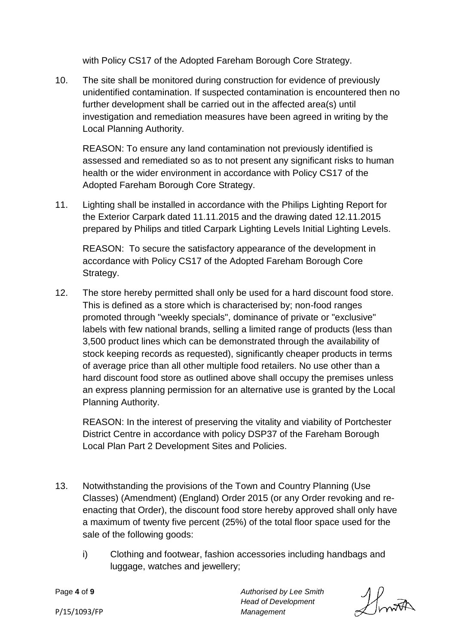with Policy CS17 of the Adopted Fareham Borough Core Strategy.

10. The site shall be monitored during construction for evidence of previously unidentified contamination. If suspected contamination is encountered then no further development shall be carried out in the affected area(s) until investigation and remediation measures have been agreed in writing by the Local Planning Authority.

REASON: To ensure any land contamination not previously identified is assessed and remediated so as to not present any significant risks to human health or the wider environment in accordance with Policy CS17 of the Adopted Fareham Borough Core Strategy.

11. Lighting shall be installed in accordance with the Philips Lighting Report for the Exterior Carpark dated 11.11.2015 and the drawing dated 12.11.2015 prepared by Philips and titled Carpark Lighting Levels Initial Lighting Levels.

REASON: To secure the satisfactory appearance of the development in accordance with Policy CS17 of the Adopted Fareham Borough Core Strategy.

12. The store hereby permitted shall only be used for a hard discount food store. This is defined as a store which is characterised by; non-food ranges promoted through "weekly specials", dominance of private or "exclusive" labels with few national brands, selling a limited range of products (less than 3,500 product lines which can be demonstrated through the availability of stock keeping records as requested), significantly cheaper products in terms of average price than all other multiple food retailers. No use other than a hard discount food store as outlined above shall occupy the premises unless an express planning permission for an alternative use is granted by the Local Planning Authority.

REASON: In the interest of preserving the vitality and viability of Portchester District Centre in accordance with policy DSP37 of the Fareham Borough Local Plan Part 2 Development Sites and Policies.

- 13. Notwithstanding the provisions of the Town and Country Planning (Use Classes) (Amendment) (England) Order 2015 (or any Order revoking and reenacting that Order), the discount food store hereby approved shall only have a maximum of twenty five percent (25%) of the total floor space used for the sale of the following goods:
	- i) Clothing and footwear, fashion accessories including handbags and luggage, watches and jewellery;

Page **4** of **9**

Howth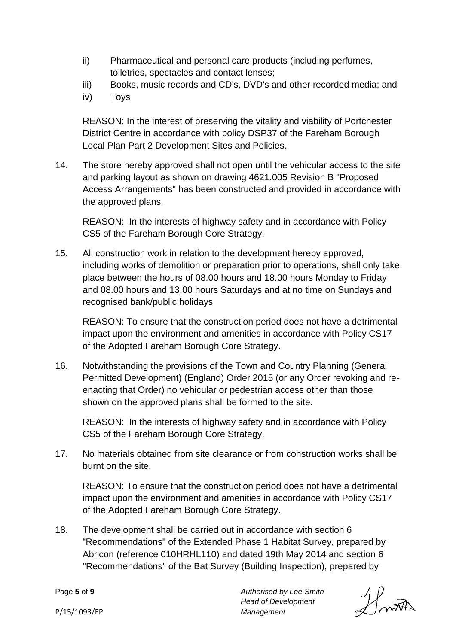- ii) Pharmaceutical and personal care products (including perfumes, toiletries, spectacles and contact lenses;
- iii) Books, music records and CD's, DVD's and other recorded media; and
- iv) Toys

REASON: In the interest of preserving the vitality and viability of Portchester District Centre in accordance with policy DSP37 of the Fareham Borough Local Plan Part 2 Development Sites and Policies.

14. The store hereby approved shall not open until the vehicular access to the site and parking layout as shown on drawing 4621.005 Revision B "Proposed Access Arrangements" has been constructed and provided in accordance with the approved plans.

REASON: In the interests of highway safety and in accordance with Policy CS5 of the Fareham Borough Core Strategy.

15. All construction work in relation to the development hereby approved, including works of demolition or preparation prior to operations, shall only take place between the hours of 08.00 hours and 18.00 hours Monday to Friday and 08.00 hours and 13.00 hours Saturdays and at no time on Sundays and recognised bank/public holidays

REASON: To ensure that the construction period does not have a detrimental impact upon the environment and amenities in accordance with Policy CS17 of the Adopted Fareham Borough Core Strategy.

16. Notwithstanding the provisions of the Town and Country Planning (General Permitted Development) (England) Order 2015 (or any Order revoking and reenacting that Order) no vehicular or pedestrian access other than those shown on the approved plans shall be formed to the site.

REASON: In the interests of highway safety and in accordance with Policy CS5 of the Fareham Borough Core Strategy.

17. No materials obtained from site clearance or from construction works shall be burnt on the site.

REASON: To ensure that the construction period does not have a detrimental impact upon the environment and amenities in accordance with Policy CS17 of the Adopted Fareham Borough Core Strategy.

18. The development shall be carried out in accordance with section 6 "Recommendations" of the Extended Phase 1 Habitat Survey, prepared by Abricon (reference 010HRHL110) and dated 19th May 2014 and section 6 "Recommendations" of the Bat Survey (Building Inspection), prepared by

Page **5** of **9**

Howth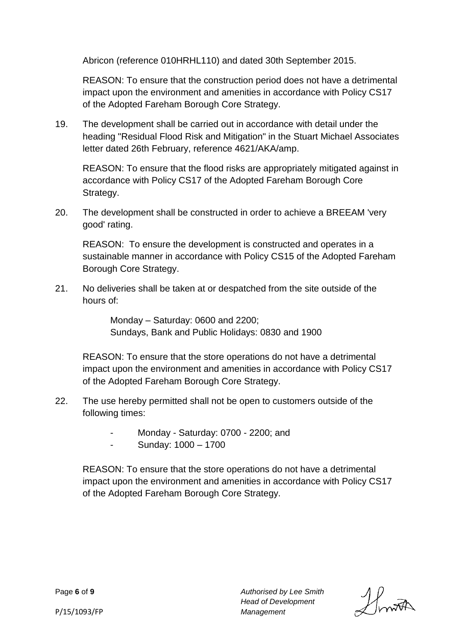Abricon (reference 010HRHL110) and dated 30th September 2015.

REASON: To ensure that the construction period does not have a detrimental impact upon the environment and amenities in accordance with Policy CS17 of the Adopted Fareham Borough Core Strategy.

19. The development shall be carried out in accordance with detail under the heading "Residual Flood Risk and Mitigation" in the Stuart Michael Associates letter dated 26th February, reference 4621/AKA/amp.

REASON: To ensure that the flood risks are appropriately mitigated against in accordance with Policy CS17 of the Adopted Fareham Borough Core Strategy.

20. The development shall be constructed in order to achieve a BREEAM 'very good' rating.

REASON: To ensure the development is constructed and operates in a sustainable manner in accordance with Policy CS15 of the Adopted Fareham Borough Core Strategy.

21. No deliveries shall be taken at or despatched from the site outside of the hours of:

> Monday – Saturday: 0600 and 2200; Sundays, Bank and Public Holidays: 0830 and 1900

REASON: To ensure that the store operations do not have a detrimental impact upon the environment and amenities in accordance with Policy CS17 of the Adopted Fareham Borough Core Strategy.

- 22. The use hereby permitted shall not be open to customers outside of the following times:
	- Monday Saturday: 0700 2200; and
	- Sunday: 1000 1700

REASON: To ensure that the store operations do not have a detrimental impact upon the environment and amenities in accordance with Policy CS17 of the Adopted Fareham Borough Core Strategy.

Howth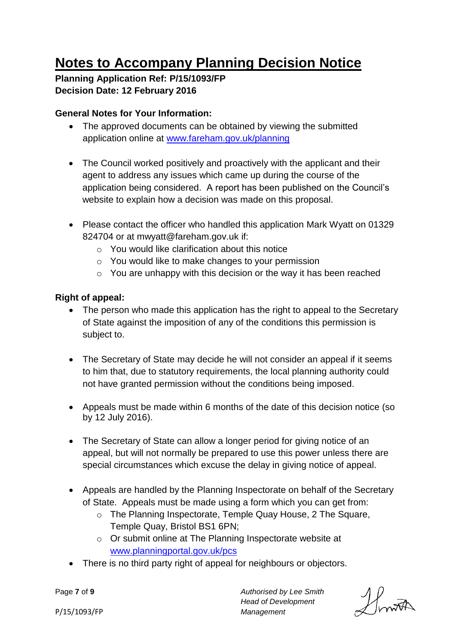# **Notes to Accompany Planning Decision Notice**

**Planning Application Ref: P/15/1093/FP Decision Date: 12 February 2016**

# **General Notes for Your Information:**

- The approved documents can be obtained by viewing the submitted application online at [www.fareham.gov.uk/planning](http://www.fareham.gov.uk/planning)
- The Council worked positively and proactively with the applicant and their agent to address any issues which came up during the course of the application being considered. A report has been published on the Council's website to explain how a decision was made on this proposal.
- Please contact the officer who handled this application Mark Wyatt on 01329 824704 or at mwyatt@fareham.gov.uk if:
	- o You would like clarification about this notice
	- o You would like to make changes to your permission
	- o You are unhappy with this decision or the way it has been reached

# **Right of appeal:**

- The person who made this application has the right to appeal to the Secretary of State against the imposition of any of the conditions this permission is subject to.
- The Secretary of State may decide he will not consider an appeal if it seems to him that, due to statutory requirements, the local planning authority could not have granted permission without the conditions being imposed.
- Appeals must be made within 6 months of the date of this decision notice (so by 12 July 2016).
- The Secretary of State can allow a longer period for giving notice of an appeal, but will not normally be prepared to use this power unless there are special circumstances which excuse the delay in giving notice of appeal.
- Appeals are handled by the Planning Inspectorate on behalf of the Secretary of State. Appeals must be made using a form which you can get from:
	- o The Planning Inspectorate, Temple Quay House, 2 The Square, Temple Quay, Bristol BS1 6PN;
	- o Or submit online at The Planning Inspectorate website at [www.planningportal.gov.uk/pcs](http://www.planningportal.gov.uk/pcs)
- There is no third party right of appeal for neighbours or objectors.

Page **7** of **9**

Howth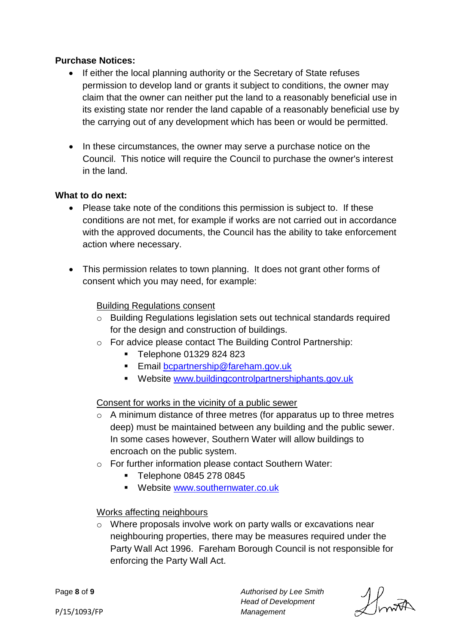#### **Purchase Notices:**

- If either the local planning authority or the Secretary of State refuses permission to develop land or grants it subject to conditions, the owner may claim that the owner can neither put the land to a reasonably beneficial use in its existing state nor render the land capable of a reasonably beneficial use by the carrying out of any development which has been or would be permitted.
- In these circumstances, the owner may serve a purchase notice on the Council. This notice will require the Council to purchase the owner's interest in the land.

#### **What to do next:**

- Please take note of the conditions this permission is subject to. If these conditions are not met, for example if works are not carried out in accordance with the approved documents, the Council has the ability to take enforcement action where necessary.
- This permission relates to town planning. It does not grant other forms of consent which you may need, for example:

#### Building Regulations consent

- o Building Regulations legislation sets out technical standards required for the design and construction of buildings.
- o For advice please contact The Building Control Partnership:
	- Telephone 01329 824 823
	- **Email [bcpartnership@fareham.gov.uk](mailto:bcpartnership@fareham.gov.uk)**
	- Website [www.buildingcontrolpartnershiphants.gov.uk](http://www.buildingcontrolpartnershiphants.gov.uk/)

#### Consent for works in the vicinity of a public sewer

- o A minimum distance of three metres (for apparatus up to three metres deep) must be maintained between any building and the public sewer. In some cases however, Southern Water will allow buildings to encroach on the public system.
- o For further information please contact Southern Water:
	- Telephone 0845 278 0845
	- **Website [www.southernwater.co.uk](http://www.southernwater.co.uk/)**

#### Works affecting neighbours

o Where proposals involve work on party walls or excavations near neighbouring properties, there may be measures required under the Party Wall Act 1996. Fareham Borough Council is not responsible for enforcing the Party Wall Act.

> *Authorised by Lee Smith Head of Development*

*Management*